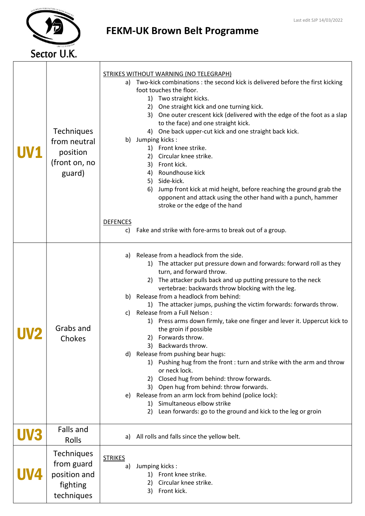

## FEKM-UK Brown Belt Programme

|     | <b>Techniques</b><br>from neutral<br>position<br>(front on, no<br>guard)  | a)                    | <b>STRIKES WITHOUT WARNING (NO TELEGRAPH)</b><br>Two-kick combinations: the second kick is delivered before the first kicking<br>foot touches the floor.<br>1) Two straight kicks.<br>One straight kick and one turning kick.<br>2)<br>One outer crescent kick (delivered with the edge of the foot as a slap<br>3)<br>to the face) and one straight kick.<br>One back upper-cut kick and one straight back kick.<br>4)<br>b) Jumping kicks:<br>1) Front knee strike.<br>Circular knee strike.<br>2)<br>Front kick.<br>3)<br>Roundhouse kick<br>4)<br>Side-kick.<br>5)<br>Jump front kick at mid height, before reaching the ground grab the<br>6)<br>opponent and attack using the other hand with a punch, hammer<br>stroke or the edge of the hand                                                                                                                                                                                                                         |
|-----|---------------------------------------------------------------------------|-----------------------|-------------------------------------------------------------------------------------------------------------------------------------------------------------------------------------------------------------------------------------------------------------------------------------------------------------------------------------------------------------------------------------------------------------------------------------------------------------------------------------------------------------------------------------------------------------------------------------------------------------------------------------------------------------------------------------------------------------------------------------------------------------------------------------------------------------------------------------------------------------------------------------------------------------------------------------------------------------------------------|
|     |                                                                           | <b>DEFENCES</b><br>C) | Fake and strike with fore-arms to break out of a group.                                                                                                                                                                                                                                                                                                                                                                                                                                                                                                                                                                                                                                                                                                                                                                                                                                                                                                                       |
|     | Grabs and<br>Chokes                                                       | a)<br>C)<br>d)<br>e)  | Release from a headlock from the side.<br>1) The attacker put pressure down and forwards: forward roll as they<br>turn, and forward throw.<br>The attacker pulls back and up putting pressure to the neck<br>2)<br>vertebrae: backwards throw blocking with the leg.<br>b) Release from a headlock from behind:<br>1) The attacker jumps, pushing the victim forwards: forwards throw.<br>Release from a Full Nelson :<br>1) Press arms down firmly, take one finger and lever it. Uppercut kick to<br>the groin if possible<br>Forwards throw.<br>2)<br>Backwards throw.<br>3)<br>Release from pushing bear hugs:<br>1) Pushing hug from the front : turn and strike with the arm and throw<br>or neck lock.<br>Closed hug from behind: throw forwards.<br>2)<br>Open hug from behind: throw forwards.<br>3)<br>Release from an arm lock from behind (police lock):<br>Simultaneous elbow strike<br>1)<br>Lean forwards: go to the ground and kick to the leg or groin<br>2) |
| UVS | Falls and<br>Rolls                                                        | a)                    | All rolls and falls since the yellow belt.                                                                                                                                                                                                                                                                                                                                                                                                                                                                                                                                                                                                                                                                                                                                                                                                                                                                                                                                    |
|     | <b>Techniques</b><br>from guard<br>position and<br>fighting<br>techniques | <b>STRIKES</b><br>a)  | Jumping kicks:<br>Front knee strike.<br>1)<br>Circular knee strike.<br>2)<br>Front kick.<br>3)                                                                                                                                                                                                                                                                                                                                                                                                                                                                                                                                                                                                                                                                                                                                                                                                                                                                                |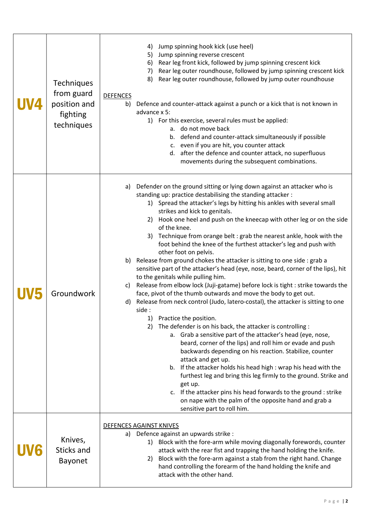| <b>Techniques</b><br>from guard<br>position and<br>fighting<br>techniques | Jump spinning hook kick (use heel)<br>4)<br>5)<br>Jump spinning reverse crescent<br>Rear leg front kick, followed by jump spinning crescent kick<br>6)<br>Rear leg outer roundhouse, followed by jump spinning crescent kick<br>7)<br>Rear leg outer roundhouse, followed by jump outer roundhouse<br>8)<br><b>DEFENCES</b><br>b)<br>Defence and counter-attack against a punch or a kick that is not known in<br>advance x 5:<br>1) For this exercise, several rules must be applied:<br>a. do not move back<br>b. defend and counter-attack simultaneously if possible<br>c. even if you are hit, you counter attack<br>d. after the defence and counter attack, no superfluous<br>movements during the subsequent combinations.                                                                                                                                                                                                                                                                                                                                                                                                                                                                                                                                                                                                                                                                                                                                                                                                                                                                                          |
|---------------------------------------------------------------------------|-----------------------------------------------------------------------------------------------------------------------------------------------------------------------------------------------------------------------------------------------------------------------------------------------------------------------------------------------------------------------------------------------------------------------------------------------------------------------------------------------------------------------------------------------------------------------------------------------------------------------------------------------------------------------------------------------------------------------------------------------------------------------------------------------------------------------------------------------------------------------------------------------------------------------------------------------------------------------------------------------------------------------------------------------------------------------------------------------------------------------------------------------------------------------------------------------------------------------------------------------------------------------------------------------------------------------------------------------------------------------------------------------------------------------------------------------------------------------------------------------------------------------------------------------------------------------------------------------------------------------------|
| Groundwork                                                                | Defender on the ground sitting or lying down against an attacker who is<br>a)<br>standing up: practice destabilising the standing attacker:<br>1) Spread the attacker's legs by hitting his ankles with several small<br>strikes and kick to genitals.<br>2) Hook one heel and push on the kneecap with other leg or on the side<br>of the knee.<br>3) Technique from orange belt : grab the nearest ankle, hook with the<br>foot behind the knee of the furthest attacker's leg and push with<br>other foot on pelvis.<br>b) Release from ground chokes the attacker is sitting to one side : grab a<br>sensitive part of the attacker's head (eye, nose, beard, corner of the lips), hit<br>to the genitals while pulling him.<br>Release from elbow lock (Juji-gatame) before lock is tight : strike towards the<br>c)<br>face, pivot of the thumb outwards and move the body to get out.<br>d) Release from neck control (Judo, latero-costal), the attacker is sitting to one<br>side :<br>Practice the position.<br>1)<br>The defender is on his back, the attacker is controlling :<br>2)<br>a. Grab a sensitive part of the attacker's head (eye, nose,<br>beard, corner of the lips) and roll him or evade and push<br>backwards depending on his reaction. Stabilize, counter<br>attack and get up.<br>b. If the attacker holds his head high : wrap his head with the<br>furthest leg and bring this leg firmly to the ground. Strike and<br>get up.<br>c. If the attacker pins his head forwards to the ground : strike<br>on nape with the palm of the opposite hand and grab a<br>sensitive part to roll him. |
| Knives,<br>Sticks and<br><b>Bayonet</b>                                   | DEFENCES AGAINST KNIVES<br>a) Defence against an upwards strike :<br>Block with the fore-arm while moving diagonally forewords, counter<br>1)<br>attack with the rear fist and trapping the hand holding the knife.<br>Block with the fore-arm against a stab from the right hand. Change<br>2)<br>hand controlling the forearm of the hand holding the knife and<br>attack with the other hand.                                                                                                                                                                                                                                                                                                                                                                                                                                                                                                                                                                                                                                                                                                                                                                                                                                                                                                                                                                                                                                                                                                                                                                                                                            |